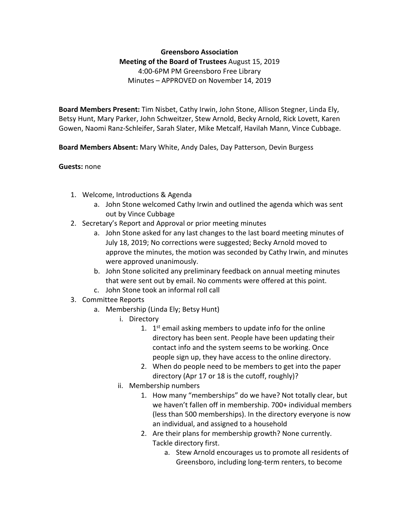## **Greensboro Association Meeting of the Board of Trustees** August 15, 2019 4:00-6PM PM Greensboro Free Library Minutes – APPROVED on November 14, 2019

**Board Members Present:** Tim Nisbet, Cathy Irwin, John Stone, Allison Stegner, Linda Ely, Betsy Hunt, Mary Parker, John Schweitzer, Stew Arnold, Becky Arnold, Rick Lovett, Karen Gowen, Naomi Ranz-Schleifer, Sarah Slater, Mike Metcalf, Havilah Mann, Vince Cubbage.

**Board Members Absent:** Mary White, Andy Dales, Day Patterson, Devin Burgess

## **Guests:** none

- 1. Welcome, Introductions & Agenda
	- a. John Stone welcomed Cathy Irwin and outlined the agenda which was sent out by Vince Cubbage
- 2. Secretary's Report and Approval or prior meeting minutes
	- a. John Stone asked for any last changes to the last board meeting minutes of July 18, 2019; No corrections were suggested; Becky Arnold moved to approve the minutes, the motion was seconded by Cathy Irwin, and minutes were approved unanimously.
	- b. John Stone solicited any preliminary feedback on annual meeting minutes that were sent out by email. No comments were offered at this point.
	- c. John Stone took an informal roll call
- 3. Committee Reports
	- a. Membership (Linda Ely; Betsy Hunt)
		- i. Directory
			- 1.  $1<sup>st</sup>$  email asking members to update info for the online directory has been sent. People have been updating their contact info and the system seems to be working. Once people sign up, they have access to the online directory.
			- 2. When do people need to be members to get into the paper directory (Apr 17 or 18 is the cutoff, roughly)?
		- ii. Membership numbers
			- 1. How many "memberships" do we have? Not totally clear, but we haven't fallen off in membership. 700+ individual members (less than 500 memberships). In the directory everyone is now an individual, and assigned to a household
			- 2. Are their plans for membership growth? None currently. Tackle directory first.
				- a. Stew Arnold encourages us to promote all residents of Greensboro, including long-term renters, to become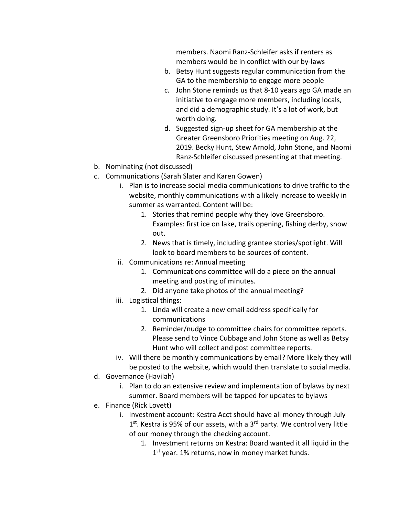members. Naomi Ranz-Schleifer asks if renters as members would be in conflict with our by-laws

- b. Betsy Hunt suggests regular communication from the GA to the membership to engage more people
- c. John Stone reminds us that 8-10 years ago GA made an initiative to engage more members, including locals, and did a demographic study. It's a lot of work, but worth doing.
- d. Suggested sign-up sheet for GA membership at the Greater Greensboro Priorities meeting on Aug. 22, 2019. Becky Hunt, Stew Arnold, John Stone, and Naomi Ranz-Schleifer discussed presenting at that meeting.
- b. Nominating (not discussed)
- c. Communications (Sarah Slater and Karen Gowen)
	- i. Plan is to increase social media communications to drive traffic to the website, monthly communications with a likely increase to weekly in summer as warranted. Content will be:
		- 1. Stories that remind people why they love Greensboro. Examples: first ice on lake, trails opening, fishing derby, snow out.
		- 2. News that is timely, including grantee stories/spotlight. Will look to board members to be sources of content.
	- ii. Communications re: Annual meeting
		- 1. Communications committee will do a piece on the annual meeting and posting of minutes.
		- 2. Did anyone take photos of the annual meeting?
	- iii. Logistical things:
		- 1. Linda will create a new email address specifically for communications
		- 2. Reminder/nudge to committee chairs for committee reports. Please send to Vince Cubbage and John Stone as well as Betsy Hunt who will collect and post committee reports.
	- iv. Will there be monthly communications by email? More likely they will be posted to the website, which would then translate to social media.
- d. Governance (Havilah)
	- i. Plan to do an extensive review and implementation of bylaws by next summer. Board members will be tapped for updates to bylaws
- e. Finance (Rick Lovett)
	- i. Investment account: Kestra Acct should have all money through July  $1<sup>st</sup>$ . Kestra is 95% of our assets, with a  $3<sup>rd</sup>$  party. We control very little of our money through the checking account.
		- 1. Investment returns on Kestra: Board wanted it all liquid in the  $1<sup>st</sup>$  year. 1% returns, now in money market funds.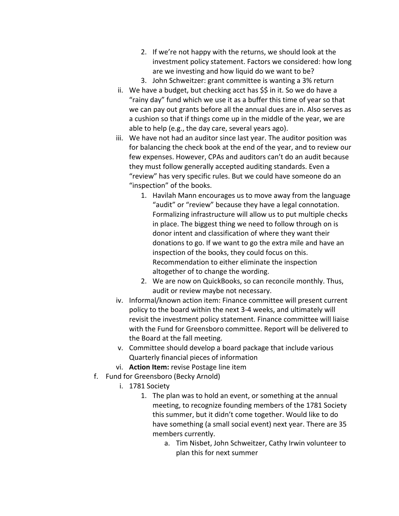- 2. If we're not happy with the returns, we should look at the investment policy statement. Factors we considered: how long are we investing and how liquid do we want to be?
- 3. John Schweitzer: grant committee is wanting a 3% return
- ii. We have a budget, but checking acct has \$\$ in it. So we do have a "rainy day" fund which we use it as a buffer this time of year so that we can pay out grants before all the annual dues are in. Also serves as a cushion so that if things come up in the middle of the year, we are able to help (e.g., the day care, several years ago).
- iii. We have not had an auditor since last year. The auditor position was for balancing the check book at the end of the year, and to review our few expenses. However, CPAs and auditors can't do an audit because they must follow generally accepted auditing standards. Even a "review" has very specific rules. But we could have someone do an "inspection" of the books.
	- 1. Havilah Mann encourages us to move away from the language "audit" or "review" because they have a legal connotation. Formalizing infrastructure will allow us to put multiple checks in place. The biggest thing we need to follow through on is donor intent and classification of where they want their donations to go. If we want to go the extra mile and have an inspection of the books, they could focus on this. Recommendation to either eliminate the inspection altogether of to change the wording.
	- 2. We are now on QuickBooks, so can reconcile monthly. Thus, audit or review maybe not necessary.
- iv. Informal/known action item: Finance committee will present current policy to the board within the next 3-4 weeks, and ultimately will revisit the investment policy statement. Finance committee will liaise with the Fund for Greensboro committee. Report will be delivered to the Board at the fall meeting.
- v. Committee should develop a board package that include various Quarterly financial pieces of information
- vi. **Action Item:** revise Postage line item
- f. Fund for Greensboro (Becky Arnold)
	- i. 1781 Society
		- 1. The plan was to hold an event, or something at the annual meeting, to recognize founding members of the 1781 Society this summer, but it didn't come together. Would like to do have something (a small social event) next year. There are 35 members currently.
			- a. Tim Nisbet, John Schweitzer, Cathy Irwin volunteer to plan this for next summer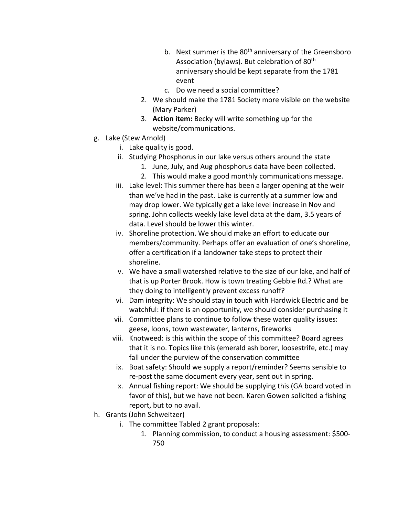- b. Next summer is the 80<sup>th</sup> anniversary of the Greensboro Association (bylaws). But celebration of 80<sup>th</sup> anniversary should be kept separate from the 1781 event
- c. Do we need a social committee?
- 2. We should make the 1781 Society more visible on the website (Mary Parker)
- 3. **Action item:** Becky will write something up for the website/communications.
- g. Lake (Stew Arnold)
	- i. Lake quality is good.
	- ii. Studying Phosphorus in our lake versus others around the state
		- 1. June, July, and Aug phosphorus data have been collected.
		- 2. This would make a good monthly communications message.
	- iii. Lake level: This summer there has been a larger opening at the weir than we've had in the past. Lake is currently at a summer low and may drop lower. We typically get a lake level increase in Nov and spring. John collects weekly lake level data at the dam, 3.5 years of data. Level should be lower this winter.
	- iv. Shoreline protection. We should make an effort to educate our members/community. Perhaps offer an evaluation of one's shoreline, offer a certification if a landowner take steps to protect their shoreline.
	- v. We have a small watershed relative to the size of our lake, and half of that is up Porter Brook. How is town treating Gebbie Rd.? What are they doing to intelligently prevent excess runoff?
	- vi. Dam integrity: We should stay in touch with Hardwick Electric and be watchful: if there is an opportunity, we should consider purchasing it
	- vii. Committee plans to continue to follow these water quality issues: geese, loons, town wastewater, lanterns, fireworks
	- viii. Knotweed: is this within the scope of this committee? Board agrees that it is no. Topics like this (emerald ash borer, loosestrife, etc.) may fall under the purview of the conservation committee
	- ix. Boat safety: Should we supply a report/reminder? Seems sensible to re-post the same document every year, sent out in spring.
	- x. Annual fishing report: We should be supplying this (GA board voted in favor of this), but we have not been. Karen Gowen solicited a fishing report, but to no avail.
- h. Grants (John Schweitzer)
	- i. The committee Tabled 2 grant proposals:
		- 1. Planning commission, to conduct a housing assessment: \$500- 750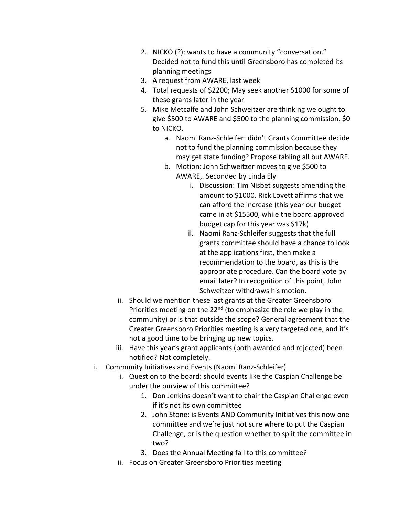- 2. NICKO (?): wants to have a community "conversation." Decided not to fund this until Greensboro has completed its planning meetings
- 3. A request from AWARE, last week
- 4. Total requests of \$2200; May seek another \$1000 for some of these grants later in the year
- 5. Mike Metcalfe and John Schweitzer are thinking we ought to give \$500 to AWARE and \$500 to the planning commission, \$0 to NICKO.
	- a. Naomi Ranz-Schleifer: didn't Grants Committee decide not to fund the planning commission because they may get state funding? Propose tabling all but AWARE.
	- b. Motion: John Schweitzer moves to give \$500 to AWARE,. Seconded by Linda Ely
		- i. Discussion: Tim Nisbet suggests amending the amount to \$1000. Rick Lovett affirms that we can afford the increase (this year our budget came in at \$15500, while the board approved budget cap for this year was \$17k)
		- ii. Naomi Ranz-Schleifer suggests that the full grants committee should have a chance to look at the applications first, then make a recommendation to the board, as this is the appropriate procedure. Can the board vote by email later? In recognition of this point, John Schweitzer withdraws his motion.
- ii. Should we mention these last grants at the Greater Greensboro Priorities meeting on the  $22<sup>nd</sup>$  (to emphasize the role we play in the community) or is that outside the scope? General agreement that the Greater Greensboro Priorities meeting is a very targeted one, and it's not a good time to be bringing up new topics.
- iii. Have this year's grant applicants (both awarded and rejected) been notified? Not completely.
- i. Community Initiatives and Events (Naomi Ranz-Schleifer)
	- i. Question to the board: should events like the Caspian Challenge be under the purview of this committee?
		- 1. Don Jenkins doesn't want to chair the Caspian Challenge even if it's not its own committee
		- 2. John Stone: is Events AND Community Initiatives this now one committee and we're just not sure where to put the Caspian Challenge, or is the question whether to split the committee in two?
		- 3. Does the Annual Meeting fall to this committee?
	- ii. Focus on Greater Greensboro Priorities meeting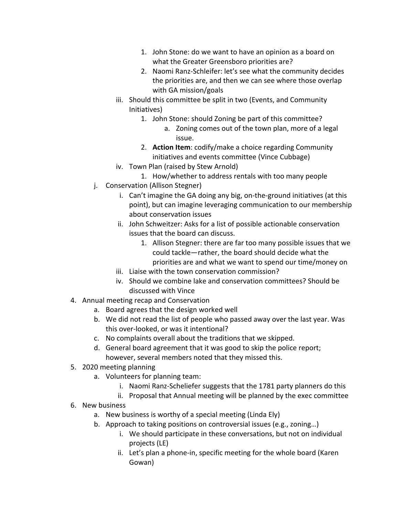- 1. John Stone: do we want to have an opinion as a board on what the Greater Greensboro priorities are?
- 2. Naomi Ranz-Schleifer: let's see what the community decides the priorities are, and then we can see where those overlap with GA mission/goals
- iii. Should this committee be split in two (Events, and Community Initiatives)
	- 1. John Stone: should Zoning be part of this committee?
		- a. Zoning comes out of the town plan, more of a legal issue.
	- 2. **Action Item**: codify/make a choice regarding Community initiatives and events committee (Vince Cubbage)
- iv. Town Plan (raised by Stew Arnold)
	- 1. How/whether to address rentals with too many people
- j. Conservation (Allison Stegner)
	- i. Can't imagine the GA doing any big, on-the-ground initiatives (at this point), but can imagine leveraging communication to our membership about conservation issues
	- ii. John Schweitzer: Asks for a list of possible actionable conservation issues that the board can discuss.
		- 1. Allison Stegner: there are far too many possible issues that we could tackle—rather, the board should decide what the priorities are and what we want to spend our time/money on
	- iii. Liaise with the town conservation commission?
	- iv. Should we combine lake and conservation committees? Should be discussed with Vince
- 4. Annual meeting recap and Conservation
	- a. Board agrees that the design worked well
	- b. We did not read the list of people who passed away over the last year. Was this over-looked, or was it intentional?
	- c. No complaints overall about the traditions that we skipped.
	- d. General board agreement that it was good to skip the police report; however, several members noted that they missed this.
- 5. 2020 meeting planning
	- a. Volunteers for planning team:
		- i. Naomi Ranz-Scheliefer suggests that the 1781 party planners do this
		- ii. Proposal that Annual meeting will be planned by the exec committee
- 6. New business
	- a. New business is worthy of a special meeting (Linda Ely)
	- b. Approach to taking positions on controversial issues (e.g., zoning…)
		- i. We should participate in these conversations, but not on individual projects (LE)
		- ii. Let's plan a phone-in, specific meeting for the whole board (Karen Gowan)